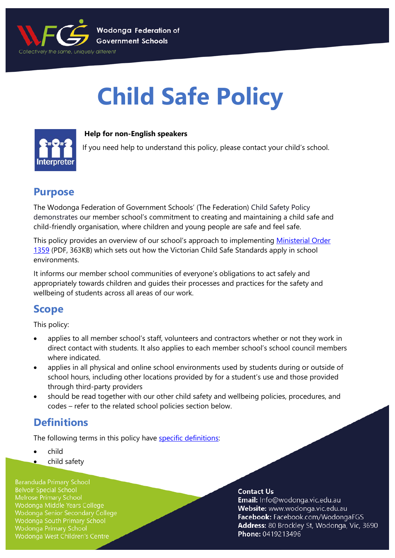

# **Child Safe Policy**



### **Help for non-English speakers**

If you need help to understand this policy, please contact your child's school.

### **Purpose**

The Wodonga Federation of Government Schools' (The Federation) Child Safety Policy demonstrates our member school's commitment to creating and maintaining a child safe and child-friendly organisation, where children and young people are safe and feel safe.

This policy provides an overview of our school's approach to implementing [Ministerial Order](https://www.education.vic.gov.au/Documents/about/programs/health/protect/Ministerial_Order.pdf)  [1359](https://www.education.vic.gov.au/Documents/about/programs/health/protect/Ministerial_Order.pdf) (PDF, 363KB) which sets out how the Victorian Child Safe Standards apply in school environments.

It informs our member school communities of everyone's obligations to act safely and appropriately towards children and guides their processes and practices for the safety and wellbeing of students across all areas of our work.

### **Scope**

This policy:

- applies to all member school's staff, volunteers and contractors whether or not they work in direct contact with students. It also applies to each member school's school council members where indicated.
- applies in all physical and online school environments used by students during or outside of school hours, including other locations provided by for a student's use and those provided through third-party providers
- should be read together with our other child safety and wellbeing policies, procedures, and codes – refer to the related school policies section below.

## **Definitions**

The following terms in this policy have [specific definitions:](https://www.vic.gov.au/child-safe-standards-definitions)

- child
- child safety

**Baranduda Primary School Belvoir Special School** Melrose Primary School Wodonga Middle Years College Wodonga Senior Secondary College Wodonga South Primary School **Wodonga Primary School** Wodonga West Children's Centre

### **Contact Us**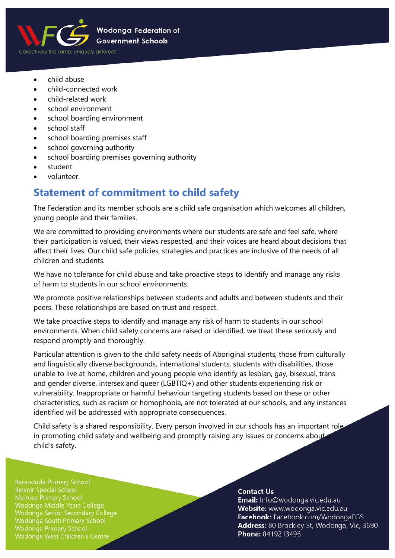

- child abuse
- child-connected work
- child-related work
- school environment
- school boarding environment
- school staff
- school boarding premises staff
- school governing authority
- school boarding premises governing authority
- student
- volunteer.

# **Statement of commitment to child safety**

The Federation and its member schools are a child safe organisation which welcomes all children, young people and their families.

We are committed to providing environments where our students are safe and feel safe, where their participation is valued, their views respected, and their voices are heard about decisions that affect their lives. Our child safe policies, strategies and practices are inclusive of the needs of all children and students.

We have no tolerance for child abuse and take proactive steps to identify and manage any risks of harm to students in our school environments.

We promote positive relationships between students and adults and between students and their peers. These relationships are based on trust and respect.

We take proactive steps to identify and manage any risk of harm to students in our school environments. When child safety concerns are raised or identified, we treat these seriously and respond promptly and thoroughly.

Particular attention is given to the child safety needs of Aboriginal students, those from culturally and linguistically diverse backgrounds, international students, students with disabilities, those unable to live at home, children and young people who identify as lesbian, gay, bisexual, trans and gender diverse, intersex and queer (LGBTIQ+) and other students experiencing risk or vulnerability. Inappropriate or harmful behaviour targeting students based on these or other characteristics, such as racism or homophobia, are not tolerated at our schools, and any instances identified will be addressed with appropriate consequences.

Child safety is a shared responsibility. Every person involved in our schools has an important role in promoting child safety and wellbeing and promptly raising any issues or concerns about child's safety.

**Baranduda Primary School Belvoir Special School** Melrose Primary School Wodonga Middle Years College Wodonga Senior Secondary College Wodonga South Primary School Wodonga Primary School Wodonga West Children's Centre

### **Contact Us**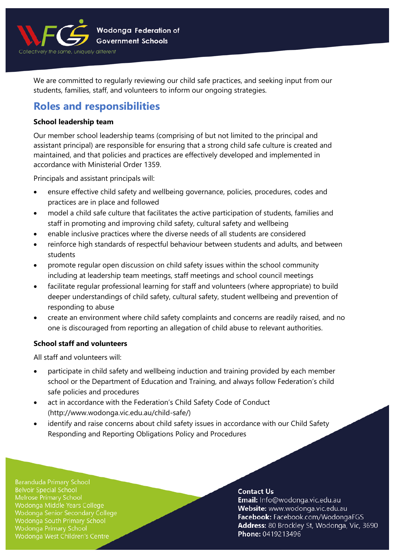

We are committed to regularly reviewing our child safe practices, and seeking input from our students, families, staff, and volunteers to inform our ongoing strategies.

# **Roles and responsibilities**

### **School leadership team**

Our member school leadership teams (comprising of but not limited to the principal and assistant principal) are responsible for ensuring that a strong child safe culture is created and maintained, and that policies and practices are effectively developed and implemented in accordance with Ministerial Order 1359.

Principals and assistant principals will:

- ensure effective child safety and wellbeing governance, policies, procedures, codes and practices are in place and followed
- model a child safe culture that facilitates the active participation of students, families and staff in promoting and improving child safety, cultural safety and wellbeing
- enable inclusive practices where the diverse needs of all students are considered
- reinforce high standards of respectful behaviour between students and adults, and between students
- promote regular open discussion on child safety issues within the school community including at leadership team meetings, staff meetings and school council meetings
- facilitate regular professional learning for staff and volunteers (where appropriate) to build deeper understandings of child safety, cultural safety, student wellbeing and prevention of responding to abuse
- create an environment where child safety complaints and concerns are readily raised, and no one is discouraged from reporting an allegation of child abuse to relevant authorities.

### **School staff and volunteers**

All staff and volunteers will:

- participate in child safety and wellbeing induction and training provided by each member school or the Department of Education and Training, and always follow Federation's child safe policies and procedures
- act in accordance with the Federation's Child Safety Code of Conduct (http://www.wodonga.vic.edu.au/child-safe/)
- identify and raise concerns about child safety issues in accordance with our Child Safety Responding and Reporting Obligations Policy and Procedures

**Baranduda Primary School Belvoir Special School** Melrose Primary School Wodonga Middle Years College Wodonga Senior Secondary College Wodonga South Primary School Wodonga Primary School Wodonga West Children's Centre

### **Contact Us**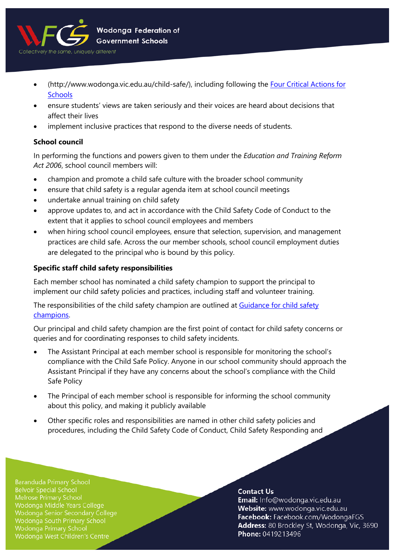

- (http://www.wodonga.vic.edu.au/child-safe/), including following the [Four Critical Actions for](https://www.education.vic.gov.au/school/teachers/health/childprotection/Pages/report.aspx)  **[Schools](https://www.education.vic.gov.au/school/teachers/health/childprotection/Pages/report.aspx)**
- ensure students' views are taken seriously and their voices are heard about decisions that affect their lives
- implement inclusive practices that respond to the diverse needs of students.

### **School council**

In performing the functions and powers given to them under the *Education and Training Reform Act 2006*, school council members will:

- champion and promote a child safe culture with the broader school community
- ensure that child safety is a regular agenda item at school council meetings
- undertake annual training on child safety
- approve updates to, and act in accordance with the Child Safety Code of Conduct to the extent that it applies to school council employees and members
- when hiring school council employees, ensure that selection, supervision, and management practices are child safe. Across the our member schools, school council employment duties are delegated to the principal who is bound by this policy.

### **Specific staff child safety responsibilities**

Each member school has nominated a child safety champion to support the principal to implement our child safety policies and practices, including staff and volunteer training.

The responsibilities of the child safety champion are outlined at Guidance for child safety [champions.](https://www.vic.gov.au/guidance-child-safety-champions) 

Our principal and child safety champion are the first point of contact for child safety concerns or queries and for coordinating responses to child safety incidents.

- The Assistant Principal at each member school is responsible for monitoring the school's compliance with the Child Safe Policy. Anyone in our school community should approach the Assistant Principal if they have any concerns about the school's compliance with the Child Safe Policy
- The Principal of each member school is responsible for informing the school community about this policy, and making it publicly available
- Other specific roles and responsibilities are named in other child safety policies and procedures, including the Child Safety Code of Conduct, Child Safety Responding and

**Baranduda Primary School Belvoir Special School** Melrose Primary School Wodonga Middle Years College Wodonga Senior Secondary College Wodonga South Primary School Wodonga Primary School Wodonga West Children's Centre

### **Contact Us**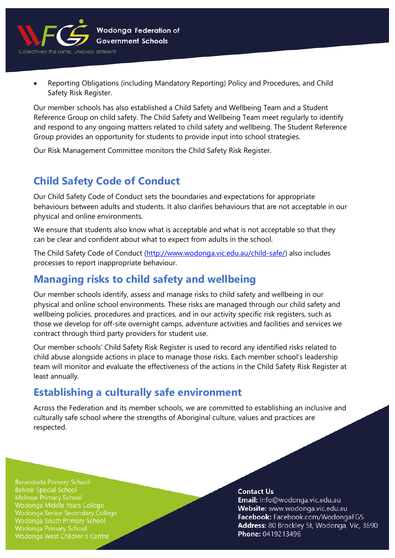

• Reporting Obligations (including Mandatory Reporting) Policy and Procedures, and Child Safety Risk Register.

Our member schools has also established a Child Safety and Wellbeing Team and a Student Reference Group on child safety. The Child Safety and Wellbeing Team meet regularly to identify and respond to any ongoing matters related to child safety and wellbeing. The Student Reference Group provides an opportunity for students to provide input into school strategies.

Our Risk Management Committee monitors the Child Safety Risk Register.

# **Child Safety Code of Conduct**

Our Child Safety Code of Conduct sets the boundaries and expectations for appropriate behaviours between adults and students. It also clarifies behaviours that are not acceptable in our physical and online environments.

We ensure that students also know what is acceptable and what is not acceptable so that they can be clear and confident about what to expect from adults in the school.

The Child Safety Code of Conduct [\(http://www.wodonga.vic.edu.au/child-safe/\)](http://www.wodonga.vic.edu.au/child-safe/) also includes processes to report inappropriate behaviour.

# **Managing risks to child safety and wellbeing**

Our member schools identify, assess and manage risks to child safety and wellbeing in our physical and online school environments. These risks are managed through our child safety and wellbeing policies, procedures and practices, and in our activity specific risk registers, such as those we develop for off-site overnight camps, adventure activities and facilities and services we contract through third party providers for student use.

Our member schools' Child Safety Risk Register is used to record any identified risks related to child abuse alongside actions in place to manage those risks. Each member school's leadership team will monitor and evaluate the effectiveness of the actions in the Child Safety Risk Register at least annually.

## **Establishing a culturally safe environment**

Across the Federation and its member schools, we are committed to establishing an inclusive and culturally safe school where the strengths of Aboriginal culture, values and practices are respected.

**Baranduda Primary School Belvoir Special School Melrose Primary School** Wodonga Middle Years College Wodonga Senior Secondary College Wodonga South Primary School **Wodonga Primary School** Wodonga West Children's Centre

### **Contact Us**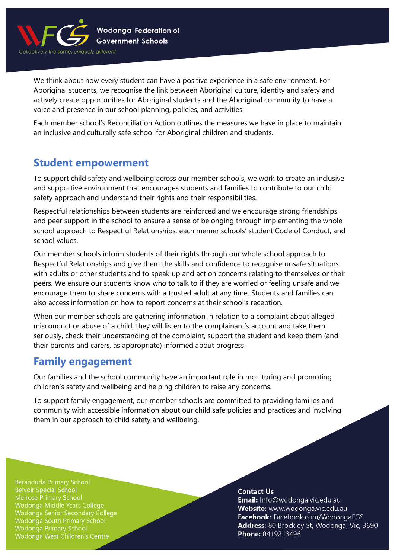

We think about how every student can have a positive experience in a safe environment. For Aboriginal students, we recognise the link between Aboriginal culture, identity and safety and actively create opportunities for Aboriginal students and the Aboriginal community to have a voice and presence in our school planning, policies, and activities.

Each member school's Reconciliation Action outlines the measures we have in place to maintain an inclusive and culturally safe school for Aboriginal children and students.

### **Student empowerment**

To support child safety and wellbeing across our member schools, we work to create an inclusive and supportive environment that encourages students and families to contribute to our child safety approach and understand their rights and their responsibilities.

Respectful relationships between students are reinforced and we encourage strong friendships and peer support in the school to ensure a sense of belonging through implementing the whole school approach to Respectful Relationships, each memer schools' student Code of Conduct, and school values.

Our member schools inform students of their rights through our whole school approach to Respectful Relationships and give them the skills and confidence to recognise unsafe situations with adults or other students and to speak up and act on concerns relating to themselves or their peers. We ensure our students know who to talk to if they are worried or feeling unsafe and we encourage them to share concerns with a trusted adult at any time. Students and families can also access information on how to report concerns at their school's reception.

When our member schools are gathering information in relation to a complaint about alleged misconduct or abuse of a child, they will listen to the complainant's account and take them seriously, check their understanding of the complaint, support the student and keep them (and their parents and carers, as appropriate) informed about progress.

## **Family engagement**

Our families and the school community have an important role in monitoring and promoting children's safety and wellbeing and helping children to raise any concerns.

To support family engagement, our member schools are committed to providing families and community with accessible information about our child safe policies and practices and involving them in our approach to child safety and wellbeing.

**Baranduda Primary School Belvoir Special School Melrose Primary School** Wodonga Middle Years College Wodonga Senior Secondary College Wodonga South Primary School **Wodonga Primary School** Wodonga West Children's Centre

### **Contact Us**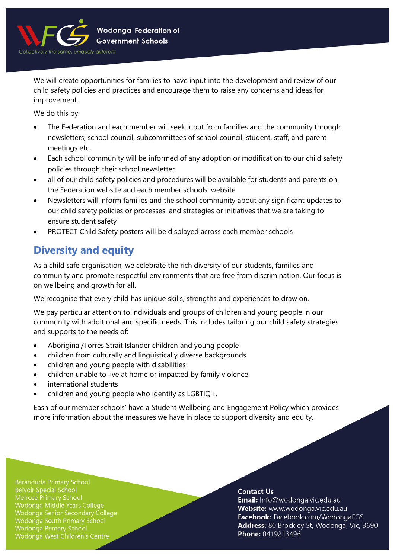

We will create opportunities for families to have input into the development and review of our child safety policies and practices and encourage them to raise any concerns and ideas for improvement.

We do this by:

- The Federation and each member will seek input from families and the community through newsletters, school council, subcommittees of school council, student, staff, and parent meetings etc.
- Each school community will be informed of any adoption or modification to our child safety policies through their school newsletter
- all of our child safety policies and procedures will be available for students and parents on the Federation website and each member schools' website
- Newsletters will inform families and the school community about any significant updates to our child safety policies or processes, and strategies or initiatives that we are taking to ensure student safety
- PROTECT Child Safety posters will be displayed across each member schools

# **Diversity and equity**

As a child safe organisation, we celebrate the rich diversity of our students, families and community and promote respectful environments that are free from discrimination. Our focus is on wellbeing and growth for all.

We recognise that every child has unique skills, strengths and experiences to draw on.

We pay particular attention to individuals and groups of children and young people in our community with additional and specific needs. This includes tailoring our child safety strategies and supports to the needs of:

- Aboriginal/Torres Strait Islander children and young people
- children from culturally and linguistically diverse backgrounds
- children and young people with disabilities
- children unable to live at home or impacted by family violence
- international students
- children and young people who identify as LGBTIQ+.

Eash of our member schools' have a Student Wellbeing and Engagement Policy which provides more information about the measures we have in place to support diversity and equity.

**Baranduda Primary School Belvoir Special School** Melrose Primary School Wodonga Middle Years College Wodonga Senior Secondary College Wodonga South Primary School Wodonga Primary School Wodonga West Children's Centre

### **Contact Us**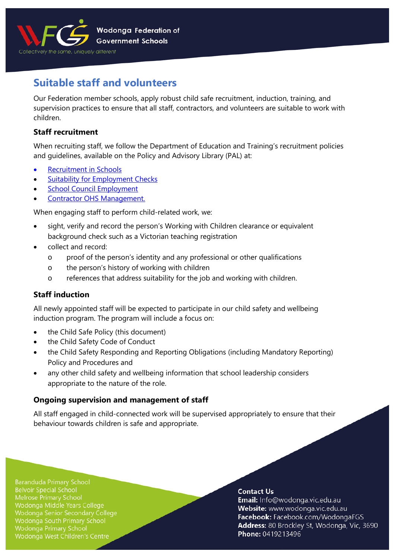

# **Suitable staff and volunteers**

Our Federation member schools, apply robust child safe recruitment, induction, training, and supervision practices to ensure that all staff, contractors, and volunteers are suitable to work with children.

### **Staff recruitment**

When recruiting staff, we follow the Department of Education and Training's recruitment policies and guidelines, available on the Policy and Advisory Library (PAL) at:

- [Recruitment in Schools](https://www2.education.vic.gov.au/pal/recruitment-schools/overview)
- **Suitability for [Employment Checks](https://www2.education.vic.gov.au/pal/suitability-employment-checks/overview)**
- [School Council Employment](https://www2.education.vic.gov.au/pal/school-council-employment/overview)
- [Contractor OHS Management.](https://www2.education.vic.gov.au/pal/contractor-ohs-management/policy)

When engaging staff to perform child-related work, we:

- sight, verify and record the person's Working with Children clearance or equivalent background check such as a Victorian teaching registration
- collect and record:
	- o proof of the person's identity and any professional or other qualifications
	- o the person's history of working with children
	- o references that address suitability for the job and working with children.

### **Staff induction**

All newly appointed staff will be expected to participate in our child safety and wellbeing induction program. The program will include a focus on:

- the Child Safe Policy (this document)
- the Child Safety Code of Conduct
- the Child Safety Responding and Reporting Obligations (including Mandatory Reporting) Policy and Procedures and
- any other child safety and wellbeing information that school leadership considers appropriate to the nature of the role.

### **Ongoing supervision and management of staff**

All staff engaged in child-connected work will be supervised appropriately to ensure that their behaviour towards children is safe and appropriate.

**Baranduda Primary School Belvoir Special School** Melrose Primary School Wodonga Middle Years College Wodonga Senior Secondary College Wodonga South Primary School Wodonga Primary School Wodonga West Children's Centre

### **Contact Us**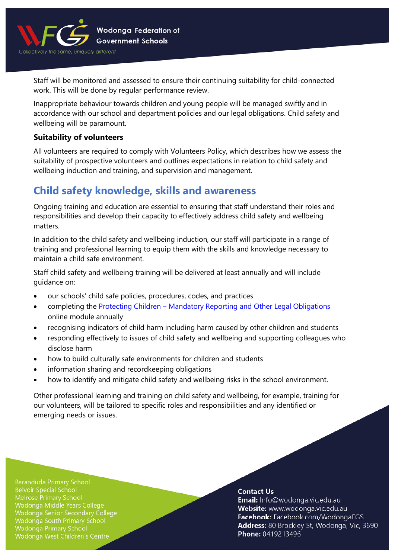

Staff will be monitored and assessed to ensure their continuing suitability for child-connected work. This will be done by regular performance review.

Inappropriate behaviour towards children and young people will be managed swiftly and in accordance with our school and department policies and our legal obligations. Child safety and wellbeing will be paramount.

### **Suitability of volunteers**

All volunteers are required to comply with Volunteers Policy, which describes how we assess the suitability of prospective volunteers and outlines expectations in relation to child safety and wellbeing induction and training, and supervision and management.

## **Child safety knowledge, skills and awareness**

Ongoing training and education are essential to ensuring that staff understand their roles and responsibilities and develop their capacity to effectively address child safety and wellbeing matters.

In addition to the child safety and wellbeing induction, our staff will participate in a range of training and professional learning to equip them with the skills and knowledge necessary to maintain a child safe environment.

Staff child safety and wellbeing training will be delivered at least annually and will include guidance on:

- our schools' child safe policies, procedures, codes, and practices
- completing the Protecting Children [Mandatory Reporting and Other Legal Obligations](http://elearn.com.au/det/protectingchildren/) online module annually
- recognising indicators of child harm including harm caused by other children and students
- responding effectively to issues of child safety and wellbeing and supporting colleagues who disclose harm
- how to build culturally safe environments for children and students
- information sharing and recordkeeping obligations
- how to identify and mitigate child safety and wellbeing risks in the school environment.

Other professional learning and training on child safety and wellbeing, for example, training for our volunteers, will be tailored to specific roles and responsibilities and any identified or emerging needs or issues.

**Baranduda Primary School Belvoir Special School** Melrose Primary School Wodonga Middle Years College Wodonga Senior Secondary College Wodonga South Primary School Wodonga Primary School Wodonga West Children's Centre

#### **Contact Us**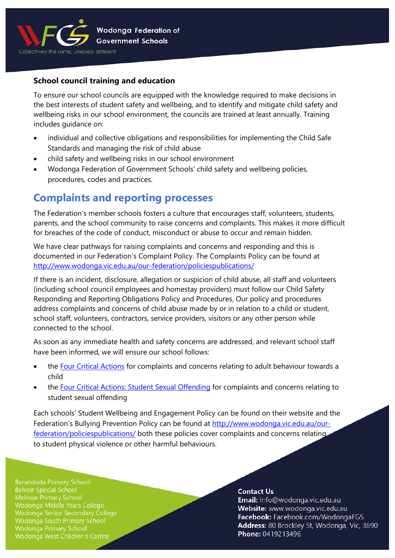

### **School council training and education**

To ensure our school councils are equipped with the knowledge required to make decisions in the best interests of student safety and wellbeing, and to identify and mitigate child safety and wellbeing risks in our school environment, the councils are trained at least annually. Training includes guidance on:

- individual and collective obligations and responsibilities for implementing the Child Safe Standards and managing the risk of child abuse
- child safety and wellbeing risks in our school environment
- Wodonga Federation of Government Schools' child safety and wellbeing policies, procedures, codes and practices.

## **Complaints and reporting processes**

The Federation's member schools fosters a culture that encourages staff, volunteers, students, parents, and the school community to raise concerns and complaints. This makes it more difficult for breaches of the code of conduct, misconduct or abuse to occur and remain hidden.

We have clear pathways for raising complaints and concerns and responding and this is documented in our Federation's Complaint Policy. The Complaints Policy can be found at <http://www.wodonga.vic.edu.au/our-federation/policiespublications/>

If there is an incident, disclosure, allegation or suspicion of child abuse, all staff and volunteers (including school council employees and homestay providers) must follow our Child Safety Responding and Reporting Obligations Policy and Procedures. Our policy and procedures address complaints and concerns of child abuse made by or in relation to a child or student, school staff, volunteers, contractors, service providers, visitors or any other person while connected to the school.

As soon as any immediate health and safety concerns are addressed, and relevant school staff have been informed, we will ensure our school follows:

- the [Four Critical Actions](https://www.education.vic.gov.au/Documents/about/programs/health/protect/FourCriticalActions_ChildAbuse.pdf) for complaints and concerns relating to adult behaviour towards a child
- the [Four Critical Actions: Student Sexual Offending](https://www.education.vic.gov.au/school/teachers/health/childprotection/Pages/stusexual.aspx) for complaints and concerns relating to student sexual offending

Each schools' Student Wellbeing and Engagement Policy can be found on their website and the Federation's Bullying Prevention Policy can be found at [http://www.wodonga.vic.edu.au/our](http://www.wodonga.vic.edu.au/our-federation/policiespublications/)[federation/policiespublications/](http://www.wodonga.vic.edu.au/our-federation/policiespublications/) both these policies cover complaints and concerns relating to student physical violence or other harmful behaviours.

**Baranduda Primary School Belvoir Special School** Melrose Primary School Wodonga Middle Years College Wodonga Senior Secondary College Wodonga South Primary School **Wodonga Primary School** Wodonga West Children's Centre

### **Contact Us**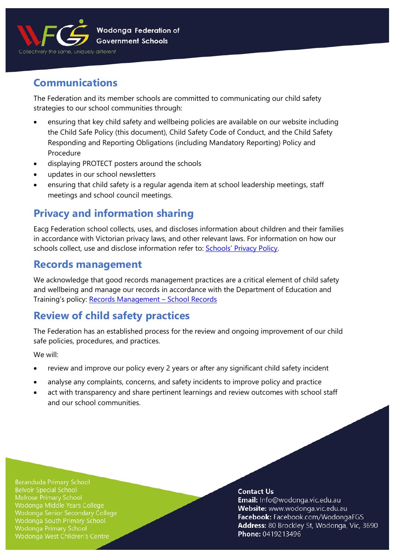

# **Communications**

The Federation and its member schools are committed to communicating our child safety strategies to our school communities through:

- ensuring that key child safety and wellbeing policies are available on our website including the Child Safe Policy (this document), Child Safety Code of Conduct, and the Child Safety Responding and Reporting Obligations (including Mandatory Reporting) Policy and Procedure
- displaying PROTECT posters around the schools
- updates in our school newsletters
- ensuring that child safety is a regular agenda item at school leadership meetings, staff meetings and school council meetings.

# **Privacy and information sharing**

Eacg Federation school collects, uses, and discloses information about children and their families in accordance with Victorian privacy laws, and other relevant laws. For information on how our schools collect, use and disclose information refer to: **Schools' Privacy Policy**.

### **Records management**

We acknowledge that good records management practices are a critical element of child safety and wellbeing and manage our records in accordance with the Department of Education and Training's policy: Records Management - School Records

# **Review of child safety practices**

The Federation has an established process for the review and ongoing improvement of our child safe policies, procedures, and practices.

We will:

- review and improve our policy every 2 years or after any significant child safety incident
- analyse any complaints, concerns, and safety incidents to improve policy and practice
- act with transparency and share pertinent learnings and review outcomes with school staff and our school communities.

**Baranduda Primary School Belvoir Special School** Melrose Primary School Wodonga Middle Years College Wodonga Senior Secondary College Wodonga South Primary School **Wodonga Primary School** Wodonga West Children's Centre

### **Contact Us**